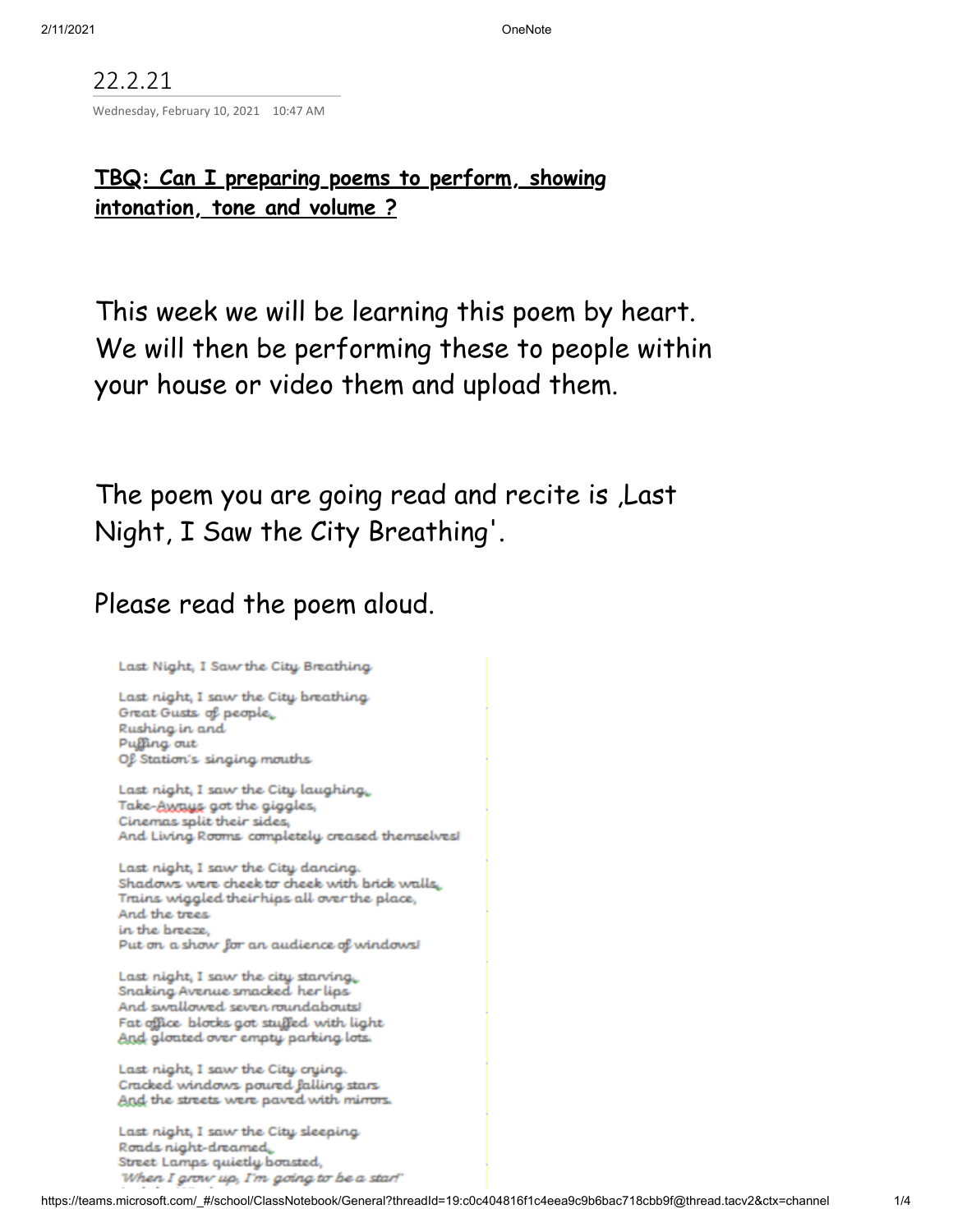22.2.21 Wednesday, February 10, 2021 10:47 AM

## **TBQ: Can I preparing poems to perform, showing intonation, tone and volume ?**

This week we will be learning this poem by heart. We will then be performing these to people within your house or video them and upload them.

The poem you are going read and recite is ,Last Night, I Saw the City Breathing '.

## Please read the poem aloud.

Last Night, I Saw the City Breathing

Last night, I saw the City breathing Great Gusts of people, Rushing in and Puffing out Of Station's singing mouths

Last night, I saw the City laughing, Take-Aways got the giggles, Cinemas split their sides, And Living Rooms completely creased themselves!

Last night, I saw the City dancing. Shadows were cheek to cheek with brick walls, Trains wiggled their hips all over the place, And the trees in the breeze. Put on a show for an audience of windows!

Last night, I saw the city starving. Snaking Avenue smacked her lips And swallowed seven roundabouts! Fat office blocks got stuffed with light And gloated over empty parking lots.

Last night, I saw the City crying. Cracked windows poured falling stars And the streets were paved with mirrors.

Last night, I saw the City sleeping Roads night-dreamed. Street Lamps quietly boasted, When I grow up, I'm going to be a star!"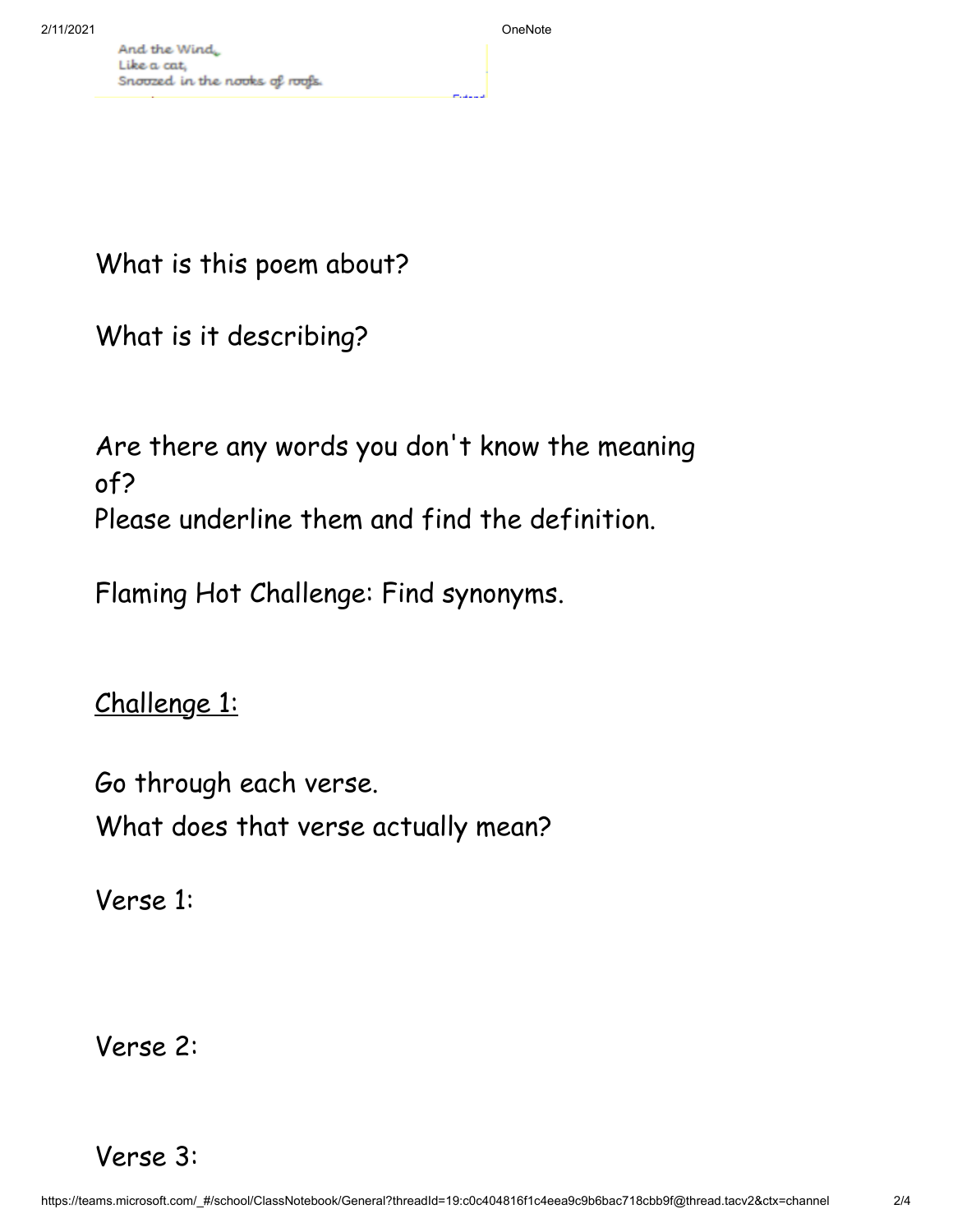What is this poem about?

What is it describing?

Are there any words you don 't know the meaning of? Please underline them and find the definition.

Flaming Hot Challenge: Find synonyms.

Challenge 1:

Go through each verse. What does that verse actually mean?

Verse 1:

Verse 2:

Verse 3: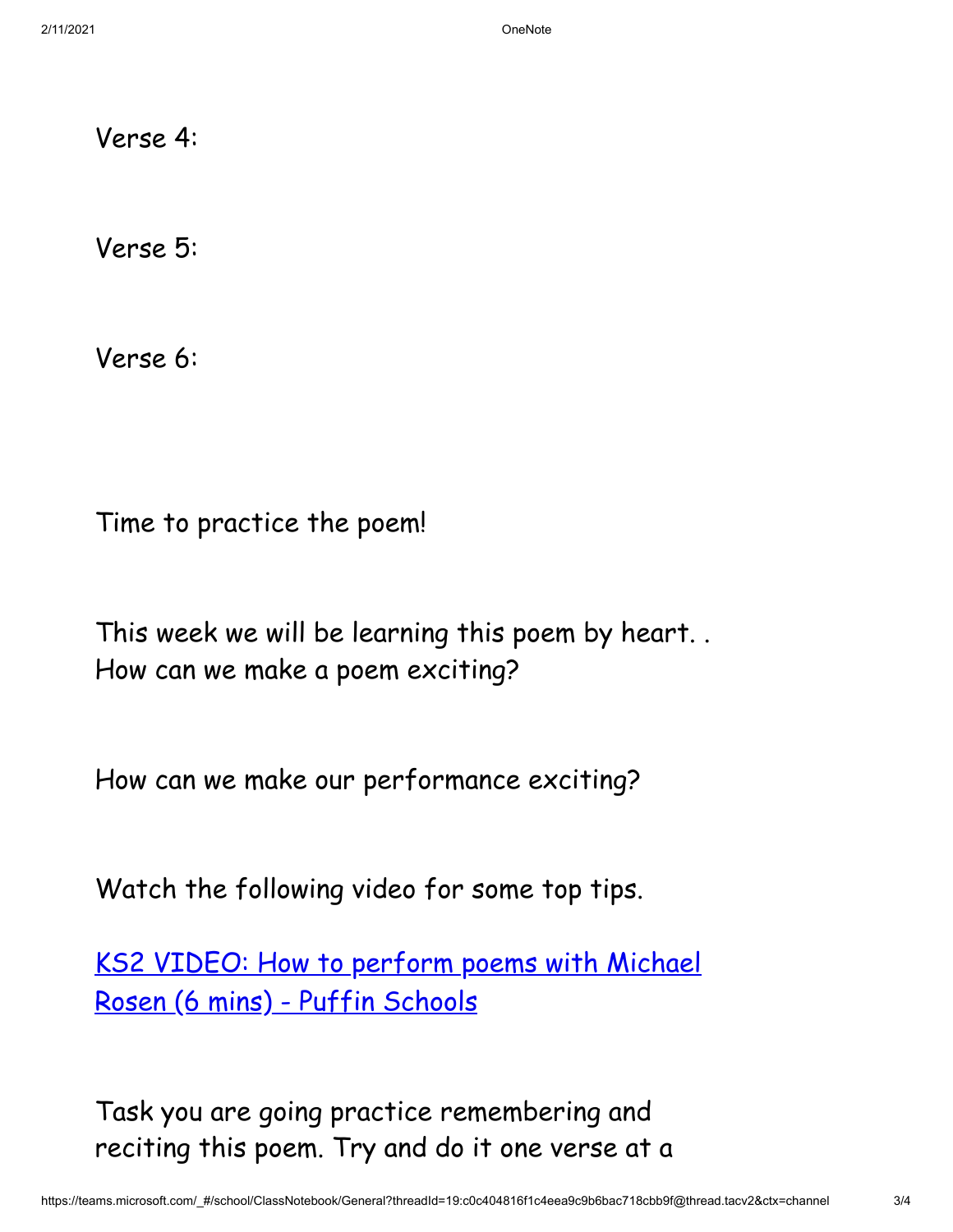Verse 4:

Verse 5:

Verse 6:

Time to practice the poem!

This week we will be learning this poem by heart. . How can we make a poem exciting?

How can we make our performance exciting?

Watch the following video for some top tips.

KS2 VIDEO: How to perform poems with Michael Rosen [\(6 mins\) -](https://www.puffinschools.co.uk/resources/ks2-video-how-to-perform-poems-with-michael-rosen-6-mins/) Puffin Schools

Task you are going practice remembering and reciting this poem. Try and do it one verse at a